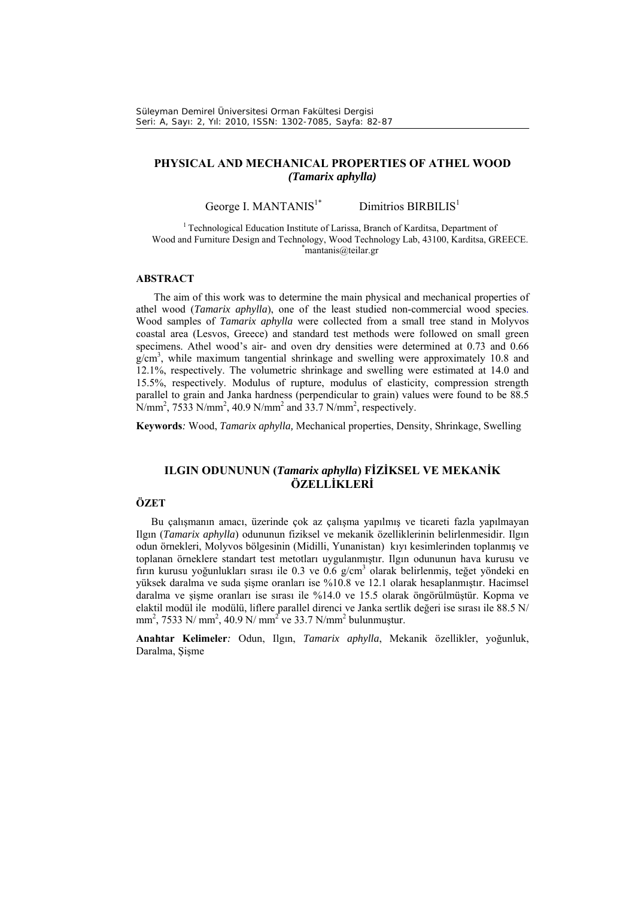# **PHYSICAL AND MECHANICAL PROPERTIES OF ATHEL WOOD**  *(Tamarix aphylla)*

George I. MANTANIS<sup>1\*</sup> Dimitrios BIRBILIS<sup>1</sup>

<sup>1</sup> Technological Education Institute of Larissa, Branch of Karditsa, Department of Wood and Furniture Design and Technology, Wood Technology Lab, 43100, Karditsa, GREECE. \*  $*$ mantanis@teilar.gr

## **ABSTRACT**

The aim of this work was to determine the main physical and mechanical properties of athel wood (*Tamarix aphylla*), one of the least studied non-commercial wood species. Wood samples of *Tamarix aphylla* were collected from a small tree stand in Molyvos coastal area (Lesvos, Greece) and standard test methods were followed on small green specimens. Athel wood's air- and oven dry densities were determined at 0.73 and 0.66 g/cm<sup>3</sup>, while maximum tangential shrinkage and swelling were approximately 10.8 and 12.1%, respectively. The volumetric shrinkage and swelling were estimated at 14.0 and 15.5%, respectively. Modulus of rupture, modulus of elasticity, compression strength parallel to grain and Janka hardness (perpendicular to grain) values were found to be 88.5  $N/mm^2$ , 7533 N/mm<sup>2</sup>, 40.9 N/mm<sup>2</sup> and 33.7 N/mm<sup>2</sup>, respectively.

**Keywords***:* Wood, *Tamarix aphylla,* Mechanical properties, Density, Shrinkage, Swelling

# **ILGIN ODUNUNUN (***Tamarix aphylla***) FİZİKSEL VE MEKANİK ÖZELLİKLERİ**

# **ÖZET**

Bu çalışmanın amacı, üzerinde çok az çalışma yapılmış ve ticareti fazla yapılmayan Ilgın (*Tamarix aphylla*) odununun fiziksel ve mekanik özelliklerinin belirlenmesidir. Ilgın odun örnekleri, Molyvos bölgesinin (Midilli, Yunanistan) kıyı kesimlerinden toplanmış ve toplanan örneklere standart test metotları uygulanmıştır. Ilgın odununun hava kurusu ve fırın kurusu yoğunlukları sırası ile 0.3 ve 0.6 g/cm<sup>3</sup> olarak belirlenmiş, teğet yöndeki en yüksek daralma ve suda şişme oranları ise %10.8 ve 12.1 olarak hesaplanmıştır. Hacimsel daralma ve şişme oranları ise sırası ile %14.0 ve 15.5 olarak öngörülmüştür. Kopma ve elaktil modül ile modülü, liflere parallel direnci ve Janka sertlik değeri ise sırası ile 88.5 N/ mm<sup>2</sup>, 7533 N/ mm<sup>2</sup>, 40.9 N/ mm<sup>2</sup> ve 33.7 N/mm<sup>2</sup> bulunmuştur.

**Anahtar Kelimeler***:* Odun, Ilgın, *Tamarix aphylla*, Mekanik özellikler, yoğunluk, Daralma, Şişme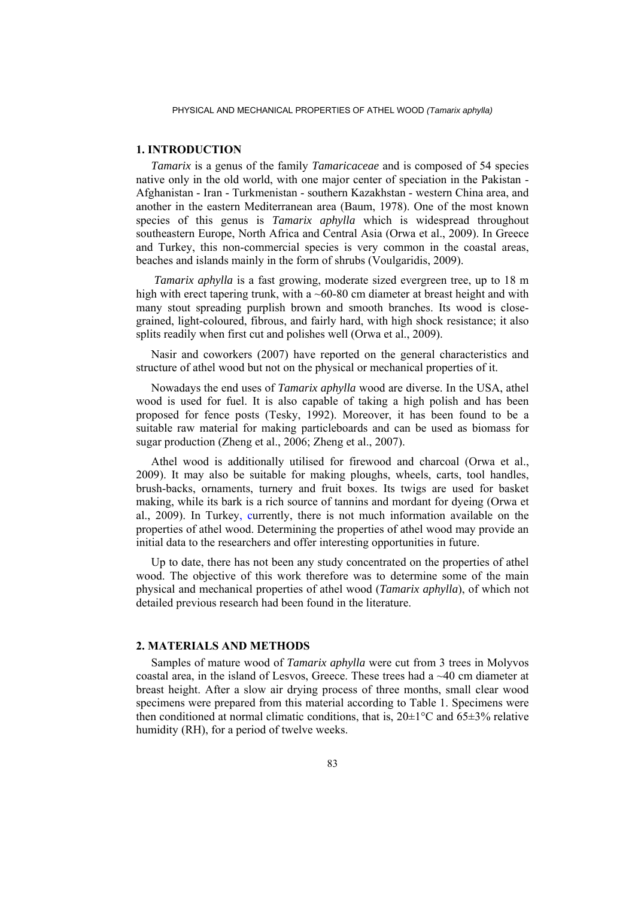## **1. INTRODUCTION**

*Tamarix* is a genus of the family *Tamaricaceae* and is composed of 54 species native only in the old world, with one major center of speciation in the Pakistan - Afghanistan - Iran - Turkmenistan - southern Kazakhstan - western China area, and another in the eastern Mediterranean area (Baum, 1978). One of the most known species of this genus is *Tamarix aphylla* which is widespread throughout southeastern Europe, North Africa and Central Asia (Orwa et al., 2009). In Greece and Turkey, this non-commercial species is very common in the coastal areas, beaches and islands mainly in the form of shrubs (Voulgaridis, 2009).

 *Tamarix aphylla* is a fast growing, moderate sized evergreen tree, up to 18 m high with erect tapering trunk, with a  $\sim 60-80$  cm diameter at breast height and with many stout spreading purplish brown and smooth branches. Its wood is closegrained, light-coloured, fibrous, and fairly hard, with high shock resistance; it also splits readily when first cut and polishes well (Orwa et al., 2009).

Nasir and coworkers (2007) have reported on the general characteristics and structure of athel wood but not on the physical or mechanical properties of it.

Nowadays the end uses of *Tamarix aphylla* wood are diverse. In the USA, athel wood is used for fuel. It is also capable of taking a high polish and has been proposed for fence posts (Tesky, 1992). Moreover, it has been found to be a suitable raw material for making particleboards and can be used as biomass for sugar production (Zheng et al., 2006; Zheng et al., 2007).

Athel wood is additionally utilised for firewood and charcoal (Orwa et al., 2009). It may also be suitable for making ploughs, wheels, carts, tool handles, brush-backs, ornaments, turnery and fruit boxes. Its twigs are used for basket making, while its bark is a rich source of tannins and mordant for dyeing (Orwa et al., 2009). In Turkey, currently, there is not much information available on the properties of athel wood. Determining the properties of athel wood may provide an initial data to the researchers and offer interesting opportunities in future.

Up to date, there has not been any study concentrated on the properties of athel wood. The objective of this work therefore was to determine some of the main physical and mechanical properties of athel wood (*Tamarix aphylla*), of which not detailed previous research had been found in the literature.

### **2. MATERIALS AND METHODS**

Samples of mature wood of *Tamarix aphylla* were cut from 3 trees in Molyvos coastal area, in the island of Lesvos, Greece. These trees had a  $\sim$ 40 cm diameter at breast height. After a slow air drying process of three months, small clear wood specimens were prepared from this material according to Table 1. Specimens were then conditioned at normal climatic conditions, that is,  $20\pm1\textdegree C$  and  $65\pm3\textdegree$  relative humidity (RH), for a period of twelve weeks.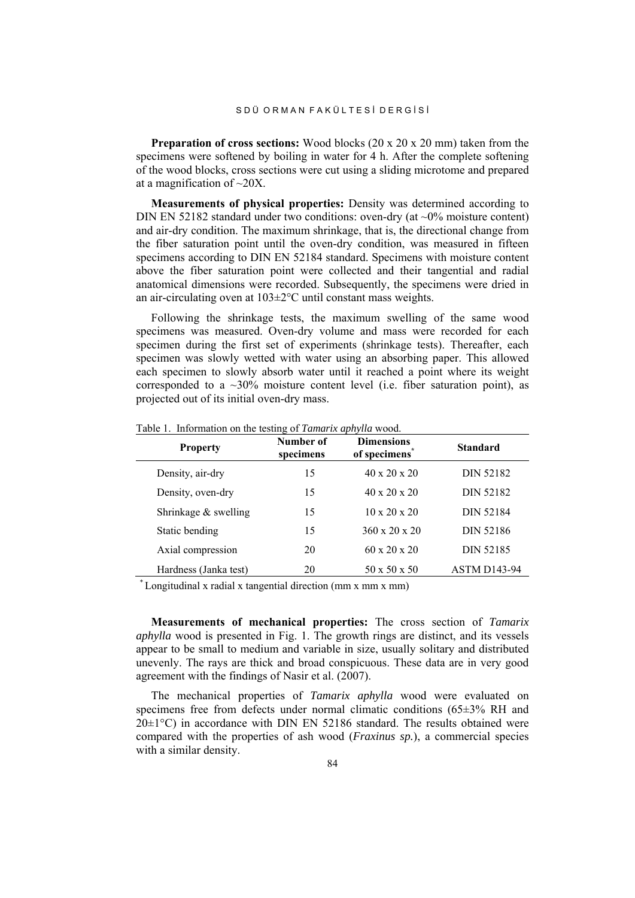**Preparation of cross sections:** Wood blocks (20 x 20 x 20 mm) taken from the specimens were softened by boiling in water for 4 h. After the complete softening of the wood blocks, cross sections were cut using a sliding microtome and prepared at a magnification of ~20X.

**Measurements of physical properties:** Density was determined according to DIN EN 52182 standard under two conditions: oven-dry (at  $\sim 0\%$  moisture content) and air-dry condition. The maximum shrinkage, that is, the directional change from the fiber saturation point until the oven-dry condition, was measured in fifteen specimens according to DIN EN 52184 standard. Specimens with moisture content above the fiber saturation point were collected and their tangential and radial anatomical dimensions were recorded. Subsequently, the specimens were dried in an air-circulating oven at 103±2°C until constant mass weights.

Following the shrinkage tests, the maximum swelling of the same wood specimens was measured. Oven-dry volume and mass were recorded for each specimen during the first set of experiments (shrinkage tests). Thereafter, each specimen was slowly wetted with water using an absorbing paper. This allowed each specimen to slowly absorb water until it reached a point where its weight corresponded to a  $\sim$ 30% moisture content level (i.e. fiber saturation point), as projected out of its initial oven-dry mass.

| <b>Property</b>        | Number of<br>specimens | <b>Dimensions</b><br>of specimens | <b>Standard</b>     |
|------------------------|------------------------|-----------------------------------|---------------------|
| Density, air-dry       | 15                     | $40 \times 20 \times 20$          | DIN 52182           |
| Density, oven-dry      | 15                     | $40 \times 20 \times 20$          | DIN 52182           |
| Shrinkage $&$ swelling | 15                     | $10 \times 20 \times 20$          | DIN 52184           |
| Static bending         | 15                     | $360 \times 20 \times 20$         | DIN 52186           |
| Axial compression      | 20                     | $60 \times 20 \times 20$          | DIN 52185           |
| Hardness (Janka test)  | 20                     | $50 \times 50 \times 50$          | <b>ASTM D143-94</b> |

Table 1. Information on the testing of *Tamarix aphylla* wood.

\* Longitudinal x radial x tangential direction (mm x mm x mm)

**Measurements of mechanical properties:** The cross section of *Tamarix aphylla* wood is presented in Fig. 1. The growth rings are distinct, and its vessels appear to be small to medium and variable in size, usually solitary and distributed unevenly. The rays are thick and broad conspicuous. These data are in very good agreement with the findings of Nasir et al. (2007).

The mechanical properties of *Tamarix aphylla* wood were evaluated on specimens free from defects under normal climatic conditions (65±3% RH and  $20\pm1\degree C$ ) in accordance with DIN EN 52186 standard. The results obtained were compared with the properties of ash wood (*Fraxinus sp.*), a commercial species with a similar density.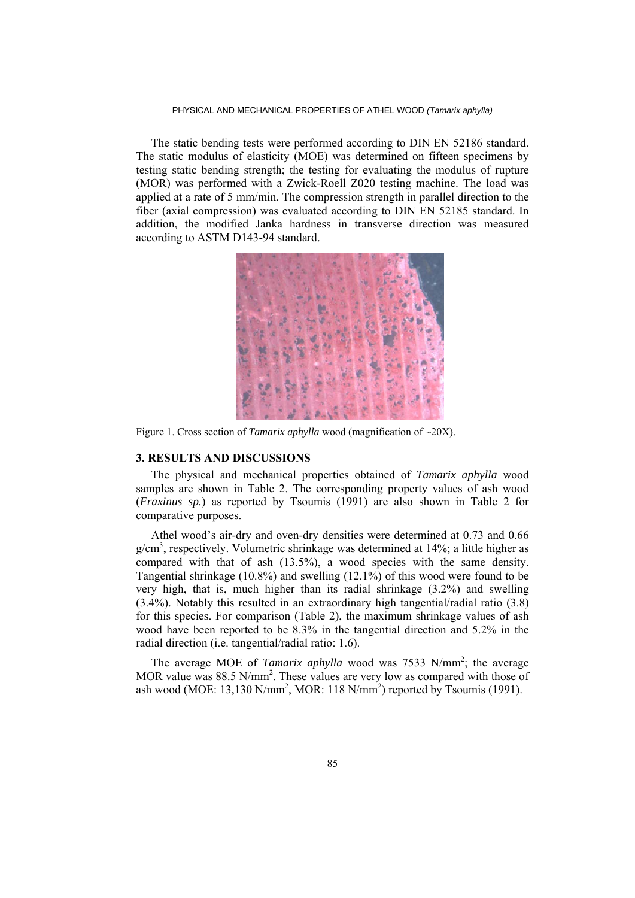#### PHYSICAL AND MECHANICAL PROPERTIES OF ATHEL WOOD *(Tamarix aphylla)*

The static bending tests were performed according to DIN EN 52186 standard. The static modulus of elasticity (MOE) was determined on fifteen specimens by testing static bending strength; the testing for evaluating the modulus of rupture (MOR) was performed with a Zwick-Roell Z020 testing machine. The load was applied at a rate of 5 mm/min. The compression strength in parallel direction to the fiber (axial compression) was evaluated according to DIN EN 52185 standard. In addition, the modified Janka hardness in transverse direction was measured according to ASTM D143-94 standard.



Figure 1. Cross section of *Tamarix aphylla* wood (magnification of ~20X).

## **3. RESULTS AND DISCUSSIONS**

The physical and mechanical properties obtained of *Tamarix aphylla* wood samples are shown in Table 2. The corresponding property values of ash wood (*Fraxinus sp.*) as reported by Tsoumis (1991) are also shown in Table 2 for comparative purposes.

Athel wood's air-dry and oven-dry densities were determined at 0.73 and 0.66 g/cm<sup>3</sup>, respectively. Volumetric shrinkage was determined at 14%; a little higher as compared with that of ash (13.5%), a wood species with the same density. Tangential shrinkage (10.8%) and swelling (12.1%) of this wood were found to be very high, that is, much higher than its radial shrinkage (3.2%) and swelling (3.4%). Notably this resulted in an extraordinary high tangential/radial ratio (3.8) for this species. For comparison (Table 2), the maximum shrinkage values of ash wood have been reported to be 8.3% in the tangential direction and 5.2% in the radial direction (i.e. tangential/radial ratio: 1.6).

The average MOE of *Tamarix aphylla* wood was 7533 N/mm<sup>2</sup>; the average MOR value was  $88.5$  N/mm<sup>2</sup>. These values are very low as compared with those of ash wood (MOE: 13,130 N/mm<sup>2</sup>, MOR: 118 N/mm<sup>2</sup>) reported by Tsoumis (1991).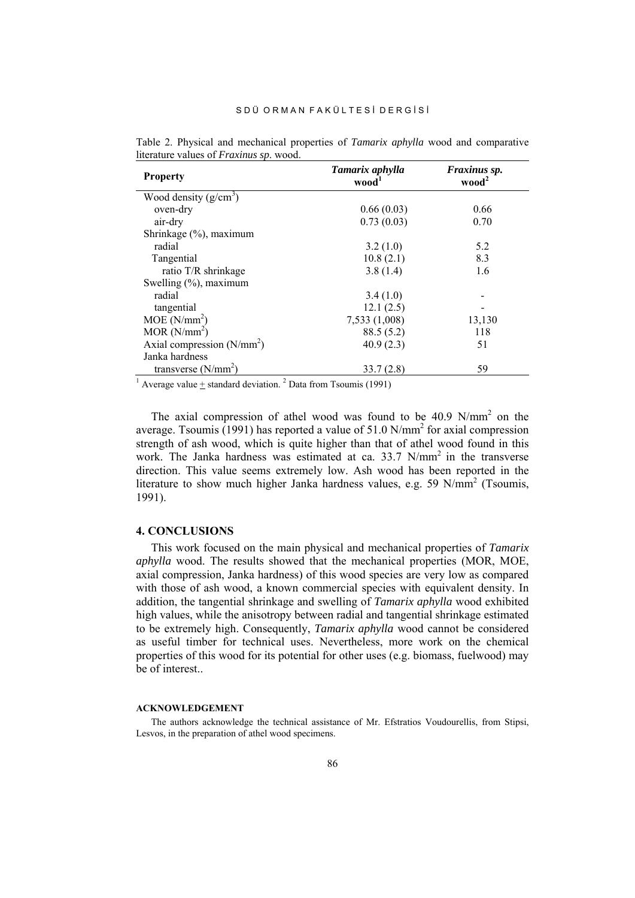| <b>Property</b>                                                                            | Tamarix aphylla<br>wood' | Fraxinus sp.<br>wood <sup>2</sup> |
|--------------------------------------------------------------------------------------------|--------------------------|-----------------------------------|
| Wood density $(g/cm^3)$                                                                    |                          |                                   |
| oven-dry                                                                                   | 0.66(0.03)               | 0.66                              |
| air-dry                                                                                    | 0.73(0.03)               | 0.70                              |
| Shrinkage (%), maximum                                                                     |                          |                                   |
| radial                                                                                     | 3.2(1.0)                 | 5.2                               |
| Tangential                                                                                 | 10.8(2.1)                | 8.3                               |
| ratio T/R shrinkage                                                                        | 3.8(1.4)                 | 1.6                               |
| Swelling $(\%)$ , maximum                                                                  |                          |                                   |
| radial                                                                                     | 3.4(1.0)                 |                                   |
| tangential                                                                                 | 12.1(2.5)                |                                   |
| MOE (N/mm <sup>2</sup> )                                                                   | 7,533 (1,008)            | 13,130                            |
| MOR(N/mm <sup>2</sup> )                                                                    | 88.5(5.2)                | 118                               |
| Axial compression $(N/mm^2)$                                                               | 40.9(2.3)                | 51                                |
| Janka hardness                                                                             |                          |                                   |
| transverse $(N/mm^2)$                                                                      | 33.7(2.8)                | 59                                |
| <sup>1</sup> Average value $\pm$ standard deviation. <sup>2</sup> Data from Tsoumis (1991) |                          |                                   |

Table 2. Physical and mechanical properties of *Tamarix aphylla* wood and comparative literature values of *Fraxinus sp*. wood.

The axial compression of athel wood was found to be  $40.9$  N/mm<sup>2</sup> on the average. Tsoumis  $(1991)$  has reported a value of 51.0 N/mm<sup>2</sup> for axial compression strength of ash wood, which is quite higher than that of athel wood found in this work. The Janka hardness was estimated at ca. 33.7 N/mm<sup>2</sup> in the transverse direction. This value seems extremely low. Ash wood has been reported in the literature to show much higher Janka hardness values, e.g. 59 N/mm<sup>2</sup> (Tsoumis, 1991).

## **4. CONCLUSIONS**

This work focused on the main physical and mechanical properties of *Tamarix aphylla* wood. The results showed that the mechanical properties (MOR, MOE, axial compression, Janka hardness) of this wood species are very low as compared with those of ash wood, a known commercial species with equivalent density. In addition, the tangential shrinkage and swelling of *Tamarix aphylla* wood exhibited high values, while the anisotropy between radial and tangential shrinkage estimated to be extremely high. Consequently, *Tamarix aphylla* wood cannot be considered as useful timber for technical uses. Nevertheless, more work on the chemical properties of this wood for its potential for other uses (e.g. biomass, fuelwood) may be of interest.

### **ACKNOWLEDGEMENT**

The authors acknowledge the technical assistance of Mr. Efstratios Voudourellis, from Stipsi, Lesvos, in the preparation of athel wood specimens.